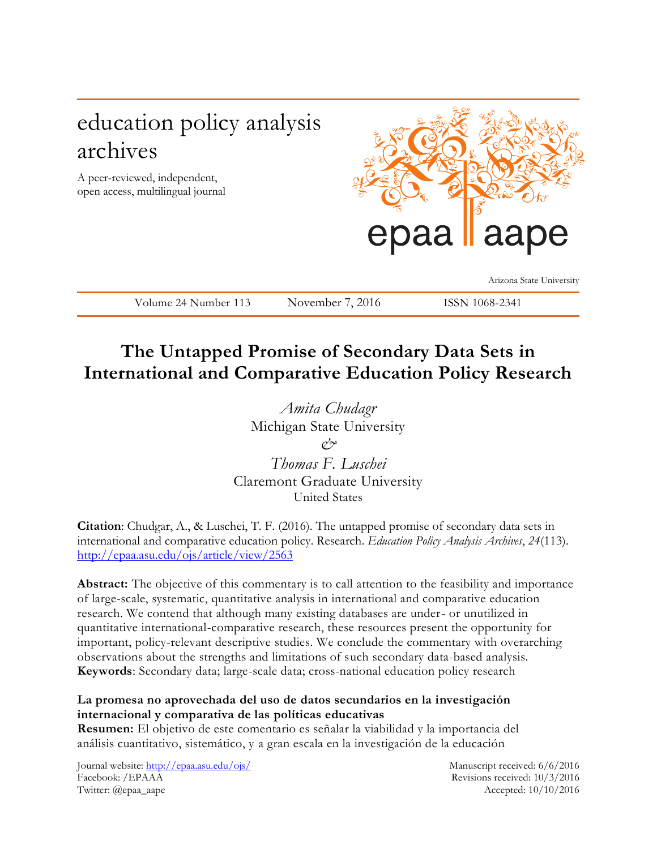# education policy analysis archives

A peer-reviewed, independent, open access, multilingual journal



Arizona State University

Volume 24 Number 113 November 7, 2016 ISSN 1068-2341

# **The Untapped Promise of Secondary Data Sets in International and Comparative Education Policy Research**

*Amita Chudagr*  Michigan State University  $\alpha$ <sup>2</sup> *Thomas F. Luschei* Claremont Graduate University

United States

**Citation**: Chudgar, A., & Luschei, T. F. (2016). The untapped promise of secondary data sets in international and comparative education policy. Research. *Education Policy Analysis Archives*, *24*(113). [http://epaa.asu.edu/ojs/article/view/2563](https://urldefense.proofpoint.com/v2/url?u=http-3A__epaa.asu.edu_ojs_article_view_2563&d=CwMFaQ&c=AGbYxfJbXK67KfXyGqyv2Ejiz41FqQuZFk4A-1IxfAU&r=6yT5qr_hBICCppnfg9XOCbfAlWF7UX_aNHuNyuDN91c&m=QiO2ZMpYHYlY8RVh_avEhYM9Ml4hY9w8jHh-CEVQ6rs&s=miyuLXvriEYuayLAZ1zIzZV5NtleAem2nBWrSKRECac&e=)

**Abstract:** The objective of this commentary is to call attention to the feasibility and importance of large-scale, systematic, quantitative analysis in international and comparative education research. We contend that although many existing databases are under- or unutilized in quantitative international-comparative research, these resources present the opportunity for important, policy-relevant descriptive studies. We conclude the commentary with overarching observations about the strengths and limitations of such secondary data-based analysis. **Keywords**: Secondary data; large-scale data; cross-national education policy research

### **La promesa no aprovechada del uso de datos secundarios en la investigación internacional y comparativa de las políticas educativas**

**Resumen:** El objetivo de este comentario es señalar la viabilidad y la importancia del análisis cuantitativo, sistemático, y a gran escala en la investigación de la educación

Journal website:<http://epaa.asu.edu/ojs/> Manuscript received: 6/6/2016 Facebook: /EPAAA Revisions received: 10/3/2016 Twitter: @epaa\_aape Accepted: 10/10/2016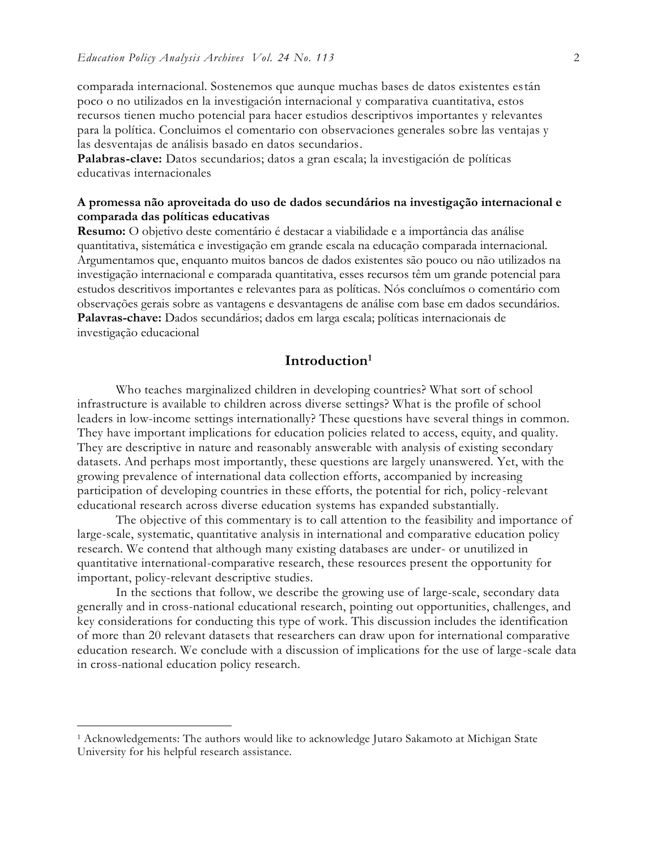comparada internacional. Sostenemos que aunque muchas bases de datos existentes están poco o no utilizados en la investigación internacional y comparativa cuantitativa, estos recursos tienen mucho potencial para hacer estudios descriptivos importantes y relevantes para la política. Concluimos el comentario con observaciones generales sobre las ventajas y las desventajas de análisis basado en datos secundarios.

**Palabras-clave:** Datos secundarios; datos a gran escala; la investigación de políticas educativas internacionales

#### **A promessa não aproveitada do uso de dados secundários na investigação internacional e comparada das políticas educativas**

**Resumo:** O objetivo deste comentário é destacar a viabilidade e a importância das análise quantitativa, sistemática e investigação em grande escala na educação comparada internacional. Argumentamos que, enquanto muitos bancos de dados existentes são pouco ou não utilizados na investigação internacional e comparada quantitativa, esses recursos têm um grande potencial para estudos descritivos importantes e relevantes para as políticas. Nós concluímos o comentário com observações gerais sobre as vantagens e desvantagens de análise com base em dados secundários. **Palavras-chave:** Dados secundários; dados em larga escala; políticas internacionais de investigação educacional

### **Introduction<sup>1</sup>**

Who teaches marginalized children in developing countries? What sort of school infrastructure is available to children across diverse settings? What is the profile of school leaders in low-income settings internationally? These questions have several things in common. They have important implications for education policies related to access, equity, and quality. They are descriptive in nature and reasonably answerable with analysis of existing secondary datasets. And perhaps most importantly, these questions are largely unanswered. Yet, with the growing prevalence of international data collection efforts, accompanied by increasing participation of developing countries in these efforts, the potential for rich, policy-relevant educational research across diverse education systems has expanded substantially.

The objective of this commentary is to call attention to the feasibility and importance of large-scale, systematic, quantitative analysis in international and comparative education policy research. We contend that although many existing databases are under- or unutilized in quantitative international-comparative research, these resources present the opportunity for important, policy-relevant descriptive studies.

In the sections that follow, we describe the growing use of large-scale, secondary data generally and in cross-national educational research, pointing out opportunities, challenges, and key considerations for conducting this type of work. This discussion includes the identification of more than 20 relevant datasets that researchers can draw upon for international comparative education research. We conclude with a discussion of implications for the use of large-scale data in cross-national education policy research.

<sup>&</sup>lt;sup>1</sup> Acknowledgements: The authors would like to acknowledge Jutaro Sakamoto at Michigan State University for his helpful research assistance.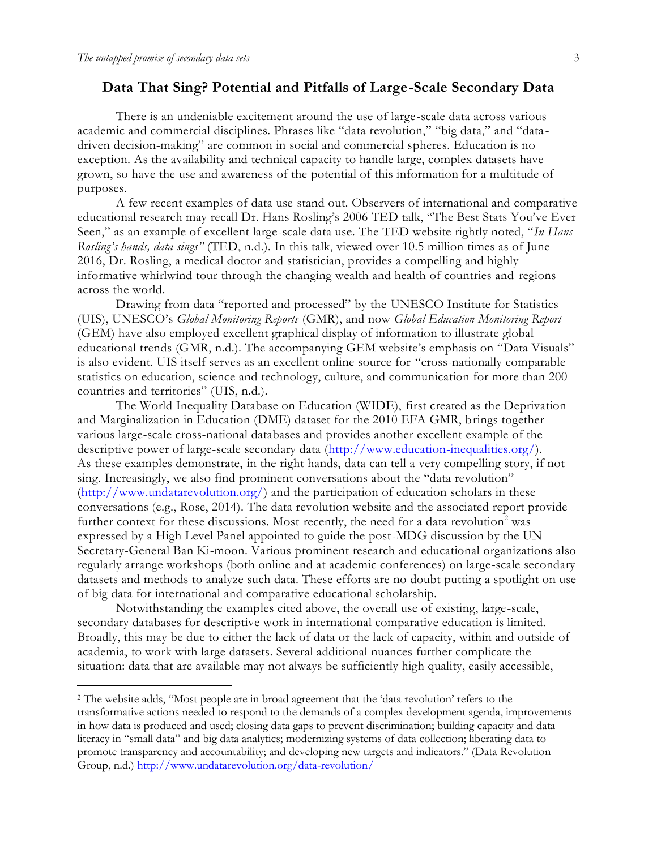#### **Data That Sing? Potential and Pitfalls of Large-Scale Secondary Data**

There is an undeniable excitement around the use of large-scale data across various academic and commercial disciplines. Phrases like "data revolution," "big data," and "data driven decision-making" are common in social and commercial spheres. Education is no exception. As the availability and technical capacity to handle large, complex datasets have grown, so have the use and awareness of the potential of this information for a multitude of purposes.

A few recent examples of data use stand out. Observers of international and comparative educational research may recall Dr. Hans Rosling's 2006 TED talk, "The Best Stats You've Ever Seen," as an example of excellent large-scale data use. The TED website rightly noted, "*In Hans Rosling's hands, data sings"* (TED, n.d.). In this talk, viewed over 10.5 million times as of June 2016, Dr. Rosling, a medical doctor and statistician, provides a compelling and highly informative whirlwind tour through the changing wealth and health of countries and regions across the world.

Drawing from data "reported and processed" by the UNESCO Institute for Statistics (UIS), UNESCO's *Global Monitoring Reports* (GMR), and now *Global Education Monitoring Report* (GEM) have also employed excellent graphical display of information to illustrate global educational trends (GMR, n.d.). The accompanying GEM website's emphasis on "Data Visuals" is also evident. UIS itself serves as an excellent online source for "cross-nationally comparable statistics on education, science and technology, culture, and communication for more than 200 countries and territories" (UIS, n.d.).

The World Inequality Database on Education (WIDE), first created as the Deprivation and Marginalization in Education (DME) dataset for the 2010 EFA GMR, brings together various large-scale cross-national databases and provides another excellent example of the descriptive power of large-scale secondary data [\(http://www.education-inequalities.org/\)](http://www.education-inequalities.org/). As these examples demonstrate, in the right hands, data can tell a very compelling story, if not sing. Increasingly, we also find prominent conversations about the "data revolution" [\(http://www.undatarevolution.org/\)](http://www.undatarevolution.org/) and the participation of education scholars in these conversations (e.g., Rose, 2014). The data revolution website and the associated report provide further context for these discussions. Most recently, the need for a data revolution<sup>2</sup> was expressed by a High Level Panel appointed to guide the post-MDG discussion by the UN Secretary-General Ban Ki-moon. Various prominent research and educational organizations also regularly arrange workshops (both online and at academic conferences) on large-scale secondary datasets and methods to analyze such data. These efforts are no doubt putting a spotlight on use of big data for international and comparative educational scholarship.

Notwithstanding the examples cited above, the overall use of existing, large-scale, secondary databases for descriptive work in international comparative education is limited. Broadly, this may be due to either the lack of data or the lack of capacity, within and outside of academia, to work with large datasets. Several additional nuances further complicate the situation: data that are available may not always be sufficiently high quality, easily accessible,

<sup>2</sup> The website adds, "Most people are in broad agreement that the 'data revolution' refers to the transformative actions needed to respond to the demands of a complex development agenda, improvements in how data is produced and used; closing data gaps to prevent discrimination; building capacity and data literacy in "small data" and big data analytics; modernizing systems of data collection; liberating data to promote transparency and accountability; and developing new targets and indicators." (Data Revolution Group, n.d.)<http://www.undatarevolution.org/data-revolution/>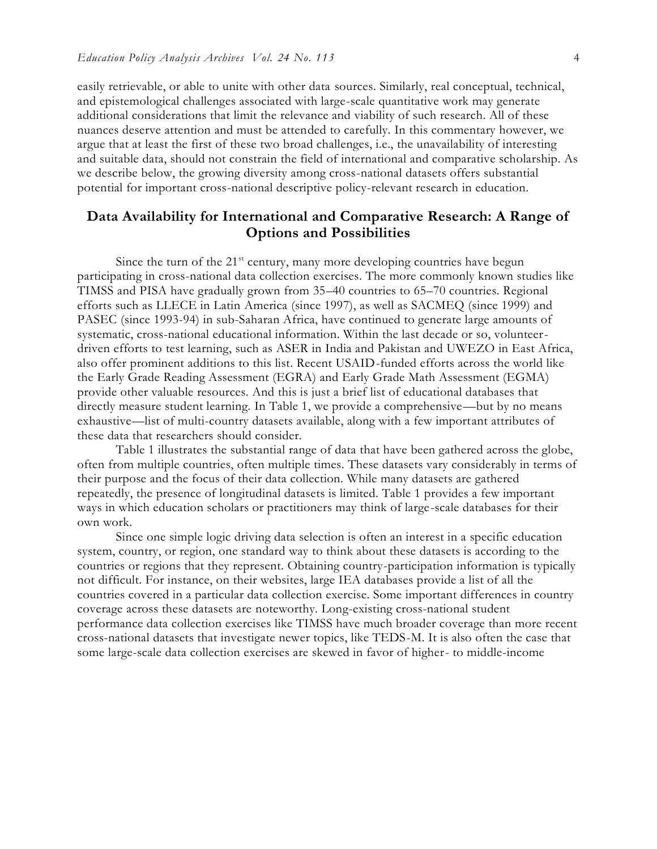easily retrievable, or able to unite with other data sources. Similarly, real conceptual, technical, and epistemological challenges associated with large-scale quantitative work may generate additional considerations that limit the relevance and viability of such research. All of these nuances deserve attention and must be attended to carefully. In this commentary however, we argue that at least the first of these two broad challenges, i.e., the unavailability of interesting and suitable data, should not constrain the field of international and comparative scholarship. As we describe below, the growing diversity among cross-national datasets offers substantial potential for important cross-national descriptive policy-relevant research in education.

### **Data Availability for International and Comparative Research: A Range of Options and Possibilities**

Since the turn of the  $21<sup>st</sup>$  century, many more developing countries have begun participating in cross-national data collection exercises. The more commonly known studies like TIMSS and PISA have gradually grown from 35–40 countries to 65–70 countries. Regional efforts such as LLECE in Latin America (since 1997), as well as SACMEQ (since 1999) and PASEC (since 1993-94) in sub-Saharan Africa, have continued to generate large amounts of systematic, cross-national educational information. Within the last decade or so, volunteerdriven efforts to test learning, such as ASER in India and Pakistan and UWEZO in East Africa, also offer prominent additions to this list. Recent USAID-funded efforts across the world like the Early Grade Reading Assessment (EGRA) and Early Grade Math Assessment (EGMA) provide other valuable resources. And this is just a brief list of educational databases that directly measure student learning. In Table 1, we provide a comprehensive—but by no means exhaustive—list of multi-country datasets available, along with a few important attributes of these data that researchers should consider.

Table 1 illustrates the substantial range of data that have been gathered across the globe, often from multiple countries, often multiple times. These datasets vary considerably in terms of their purpose and the focus of their data collection. While many datasets are gathered repeatedly, the presence of longitudinal datasets is limited. Table 1 provides a few important ways in which education scholars or practitioners may think of large-scale databases for their own work.

Since one simple logic driving data selection is often an interest in a specific education system, country, or region, one standard way to think about these datasets is according to the countries or regions that they represent. Obtaining country-participation information is typically not difficult. For instance, on their websites, large IEA databases provide a list of all the countries covered in a particular data collection exercise. Some important differences in country coverage across these datasets are noteworthy. Long-existing cross-national student performance data collection exercises like TIMSS have much broader coverage than more recent cross-national datasets that investigate newer topics, like TEDS-M. It is also often the case that some large-scale data collection exercises are skewed in favor of higher- to middle-income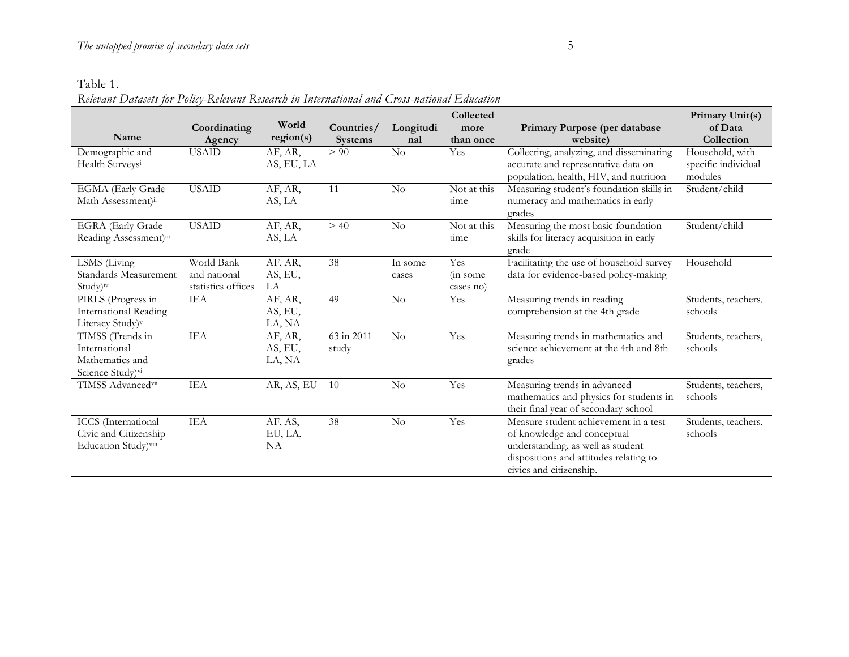# Table 1.

*Relevant Datasets for Policy-Relevant Research in International and Cross-national Education*

|                                |                    |            |                |           | Collected   |                                          | Primary Unit(s)     |
|--------------------------------|--------------------|------------|----------------|-----------|-------------|------------------------------------------|---------------------|
|                                | Coordinating       | World      | Countries/     | Longitudi | more        | Primary Purpose (per database            | of Data             |
| Name                           | Agency             | region(s)  | <b>Systems</b> | nal       | than once   | website)                                 | Collection          |
| Demographic and                | <b>USAID</b>       | AF, AR,    | > 90           | No        | Yes         | Collecting, analyzing, and disseminating | Household, with     |
| Health Surveysi                |                    | AS, EU, LA |                |           |             | accurate and representative data on      | specific individual |
|                                |                    |            |                |           |             | population, health, HIV, and nutrition   | modules             |
| EGMA (Early Grade              | <b>USAID</b>       | AF, AR,    | 11             | No        | Not at this | Measuring student's foundation skills in | Student/child       |
| Math Assessment) <sup>ii</sup> |                    | AS, LA     |                |           | time        | numeracy and mathematics in early        |                     |
|                                |                    |            |                |           |             | grades                                   |                     |
| <b>EGRA</b> (Early Grade       | <b>USAID</b>       | AF, AR,    | > 40           | No        | Not at this | Measuring the most basic foundation      | Student/child       |
| Reading Assessment)iii         |                    | AS, LA     |                |           | time        | skills for literacy acquisition in early |                     |
|                                |                    |            |                |           |             | grade                                    |                     |
| LSMS (Living                   | World Bank         | AF, AR,    | 38             | In some   | Yes         | Facilitating the use of household survey | Household           |
| Standards Measurement          | and national       | AS, EU,    |                | cases     | (in some)   | data for evidence-based policy-making    |                     |
| Study)iv                       | statistics offices | LA         |                |           | cases no)   |                                          |                     |
| PIRLS (Progress in             | <b>IEA</b>         | AF, AR,    | 49             | No        | Yes         | Measuring trends in reading              | Students, teachers, |
| <b>International Reading</b>   |                    | AS, EU,    |                |           |             | comprehension at the 4th grade           | schools             |
| Literacy Study) <sup>v</sup>   |                    | LA, NA     |                |           |             |                                          |                     |
| TIMSS (Trends in               | IEA                | AF, AR,    | 63 in 2011     | No        | Yes         | Measuring trends in mathematics and      | Students, teachers, |
| International                  |                    | AS, EU,    | study          |           |             | science achievement at the 4th and 8th   | schools             |
| Mathematics and                |                    | LA, NA     |                |           |             | grades                                   |                     |
| Science Study) <sup>vi</sup>   |                    |            |                |           |             |                                          |                     |
| TIMSS Advancedvii              | IEA                | AR, AS, EU | 10             | $\rm No$  | Yes         | Measuring trends in advanced             | Students, teachers, |
|                                |                    |            |                |           |             | mathematics and physics for students in  | schools             |
|                                |                    |            |                |           |             | their final year of secondary school     |                     |
| <b>ICCS</b> (International     | IEA                | AF, AS,    | 38             | $\rm No$  | Yes         | Measure student achievement in a test    | Students, teachers, |
| Civic and Citizenship          |                    | EU, LA,    |                |           |             | of knowledge and conceptual              | schools             |
| Education Study)viii           |                    | NA         |                |           |             | understanding, as well as student        |                     |
|                                |                    |            |                |           |             | dispositions and attitudes relating to   |                     |
|                                |                    |            |                |           |             | civics and citizenship.                  |                     |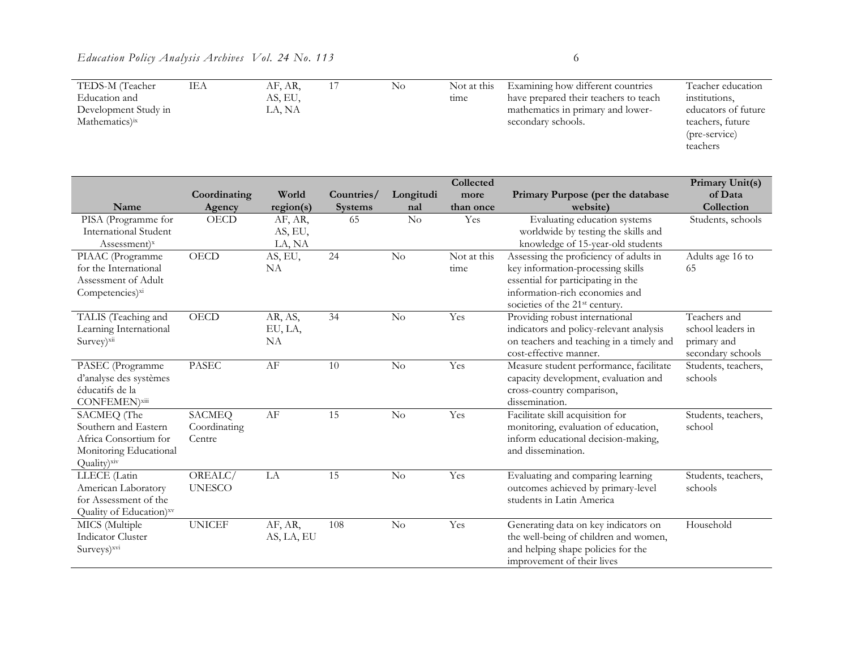| TEDS-M (Teacher            | IEA | AF, AR, | No. | Not at this | Examining how different countries     | Teacher education   |
|----------------------------|-----|---------|-----|-------------|---------------------------------------|---------------------|
| Education and              |     | AS, EU, |     | tıme        | have prepared their teachers to teach | institutions,       |
| Development Study in       |     | LA, NA  |     |             | mathematics in primary and lower-     | educators of future |
| Mathematics) <sup>ix</sup> |     |         |     |             | secondary schools.                    | teachers, future    |
|                            |     |         |     |             |                                       | (pre-service)       |
|                            |     |         |     |             |                                       | teachers            |
|                            |     |         |     |             |                                       |                     |

|                              |               |            |                |           | Collected   |                                            | Primary Unit(s)     |
|------------------------------|---------------|------------|----------------|-----------|-------------|--------------------------------------------|---------------------|
|                              | Coordinating  | World      | Countries/     | Longitudi | more        | Primary Purpose (per the database          | of Data             |
| Name                         | Agency        | region(s)  | <b>Systems</b> | nal       | than once   | website)                                   | Collection          |
| PISA (Programme for          | <b>OECD</b>   | AF, AR,    | 65             | $\rm No$  | Yes         | Evaluating education systems               | Students, schools   |
| <b>International Student</b> |               | AS, EU,    |                |           |             | worldwide by testing the skills and        |                     |
| Assessment) <sup>x</sup>     |               | LA, NA     |                |           |             | knowledge of 15-year-old students          |                     |
| PIAAC (Programme             | OECD          | AS, EU,    | 24             | No        | Not at this | Assessing the proficiency of adults in     | Adults age 16 to    |
| for the International        |               | NA         |                |           | time        | key information-processing skills          | 65                  |
| Assessment of Adult          |               |            |                |           |             | essential for participating in the         |                     |
| Competencies) <sup>xi</sup>  |               |            |                |           |             | information-rich economies and             |                     |
|                              |               |            |                |           |             | societies of the 21 <sup>st</sup> century. |                     |
| TALIS (Teaching and          | <b>OECD</b>   | AR, AS,    | 34             | No        | Yes         | Providing robust international             | Teachers and        |
| Learning International       |               | EU, LA,    |                |           |             | indicators and policy-relevant analysis    | school leaders in   |
| Survey)xii                   |               | <b>NA</b>  |                |           |             | on teachers and teaching in a timely and   | primary and         |
|                              |               |            |                |           |             | cost-effective manner.                     | secondary schools   |
| PASEC (Programme             | <b>PASEC</b>  | AF         | 10             | No        | Yes         | Measure student performance, facilitate    | Students, teachers, |
| d'analyse des systèmes       |               |            |                |           |             | capacity development, evaluation and       | schools             |
| éducatifs de la              |               |            |                |           |             | cross-country comparison,                  |                     |
| CONFEMEN)xiii                |               |            |                |           |             | dissemination.                             |                     |
| SACMEQ (The                  | <b>SACMEQ</b> | AF         | 15             | No        | Yes         | Facilitate skill acquisition for           | Students, teachers, |
| Southern and Eastern         | Coordinating  |            |                |           |             | monitoring, evaluation of education,       | school              |
| Africa Consortium for        | Centre        |            |                |           |             | inform educational decision-making,        |                     |
| Monitoring Educational       |               |            |                |           |             | and dissemination.                         |                     |
| Quality)xiv                  |               |            |                |           |             |                                            |                     |
| LLECE (Latin                 | OREALC/       | LA         | 15             | No        | Yes         | Evaluating and comparing learning          | Students, teachers, |
| American Laboratory          | <b>UNESCO</b> |            |                |           |             | outcomes achieved by primary-level         | schools             |
| for Assessment of the        |               |            |                |           |             | students in Latin America                  |                     |
| Quality of Education)xv      |               |            |                |           |             |                                            |                     |
| MICS (Multiple               | <b>UNICEF</b> | AF, AR,    | 108            | No        | Yes         | Generating data on key indicators on       | Household           |
| <b>Indicator Cluster</b>     |               | AS, LA, EU |                |           |             | the well-being of children and women,      |                     |
| Surveys) <sup>xvi</sup>      |               |            |                |           |             | and helping shape policies for the         |                     |
|                              |               |            |                |           |             | improvement of their lives                 |                     |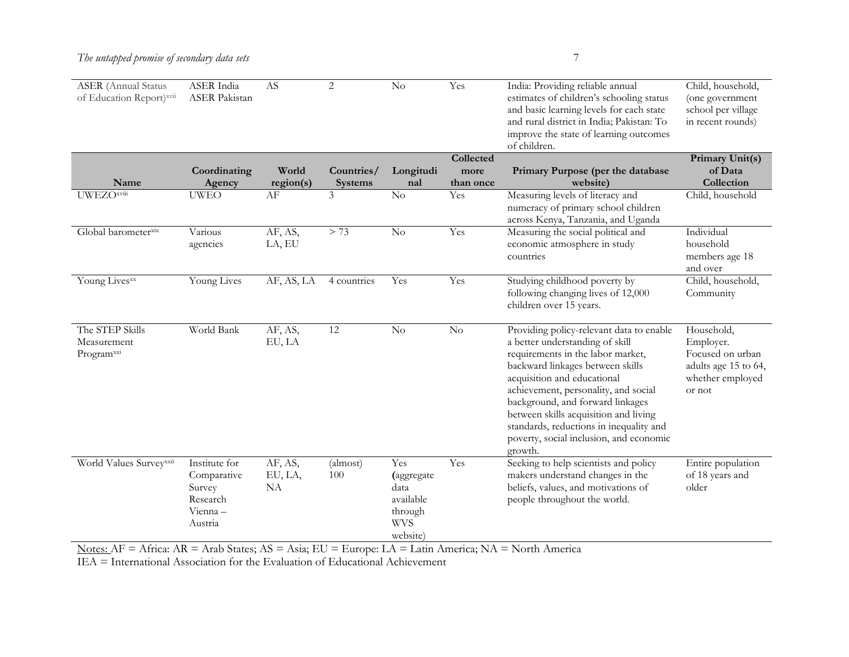| <b>ASER</b> (Annual Status<br>of Education Report)xvii   | ASER India<br><b>ASER</b> Pakistan<br>Coordinating                        | AS<br>World              | 2<br>Countries/ | $\rm No$<br>Longitudi                                                       | Yes<br>Collected<br>more | India: Providing reliable annual<br>estimates of children's schooling status<br>and basic learning levels for each state<br>and rural district in India; Pakistan: To<br>improve the state of learning outcomes<br>of children.<br>Primary Purpose (per the database                                                                                                                                      | Child, household,<br>(one government<br>school per village<br>in recent rounds)<br>Primary Unit(s)<br>of Data |
|----------------------------------------------------------|---------------------------------------------------------------------------|--------------------------|-----------------|-----------------------------------------------------------------------------|--------------------------|-----------------------------------------------------------------------------------------------------------------------------------------------------------------------------------------------------------------------------------------------------------------------------------------------------------------------------------------------------------------------------------------------------------|---------------------------------------------------------------------------------------------------------------|
| Name                                                     | Agency                                                                    | region(s)                | <b>Systems</b>  | nal                                                                         | than once                | website)                                                                                                                                                                                                                                                                                                                                                                                                  | Collection                                                                                                    |
| <b>UWEZOxviii</b>                                        | <b>UWEO</b>                                                               | AF                       | 3               | No                                                                          | Yes                      | Measuring levels of literacy and<br>numeracy of primary school children<br>across Kenya, Tanzania, and Uganda                                                                                                                                                                                                                                                                                             | Child, household                                                                                              |
| Global barometerxix                                      | Various<br>agencies                                                       | AF, AS,<br>LA, EU        | > 73            | $\rm No$                                                                    | Yes                      | Measuring the social political and<br>economic atmosphere in study<br>countries                                                                                                                                                                                                                                                                                                                           | Individual<br>household<br>members age 18<br>and over                                                         |
| Young Livesxx                                            | Young Lives                                                               | AF, AS, LA               | 4 countries     | Yes                                                                         | Yes                      | Studying childhood poverty by<br>following changing lives of 12,000<br>children over 15 years.                                                                                                                                                                                                                                                                                                            | Child, household,<br>Community                                                                                |
| The STEP Skills<br>Measurement<br>Program <sup>xxi</sup> | World Bank                                                                | AF, AS,<br>EU, LA        | 12              | $\rm No$                                                                    | No                       | Providing policy-relevant data to enable<br>a better understanding of skill<br>requirements in the labor market,<br>backward linkages between skills<br>acquisition and educational<br>achievement, personality, and social<br>background, and forward linkages<br>between skills acquisition and living<br>standards, reductions in inequality and<br>poverty, social inclusion, and economic<br>growth. | Household,<br>Employer.<br>Focused on urban<br>adults age 15 to 64,<br>whether employed<br>or not             |
| World Values Surveyxxii                                  | Institute for<br>Comparative<br>Survey<br>Research<br>Vienna -<br>Austria | AF, AS,<br>EU, LA,<br>NA | (almost)<br>100 | Yes<br>(aggregate<br>data<br>available<br>through<br><b>WVS</b><br>website) | Yes                      | Seeking to help scientists and policy<br>makers understand changes in the<br>beliefs, values, and motivations of<br>people throughout the world.                                                                                                                                                                                                                                                          | Entire population<br>of 18 years and<br>older                                                                 |

Notes: AF = Africa: AR = Arab States; AS = Asia; EU = Europe: LA = Latin America; NA = North America

IEA = International Association for the Evaluation of Educational Achievement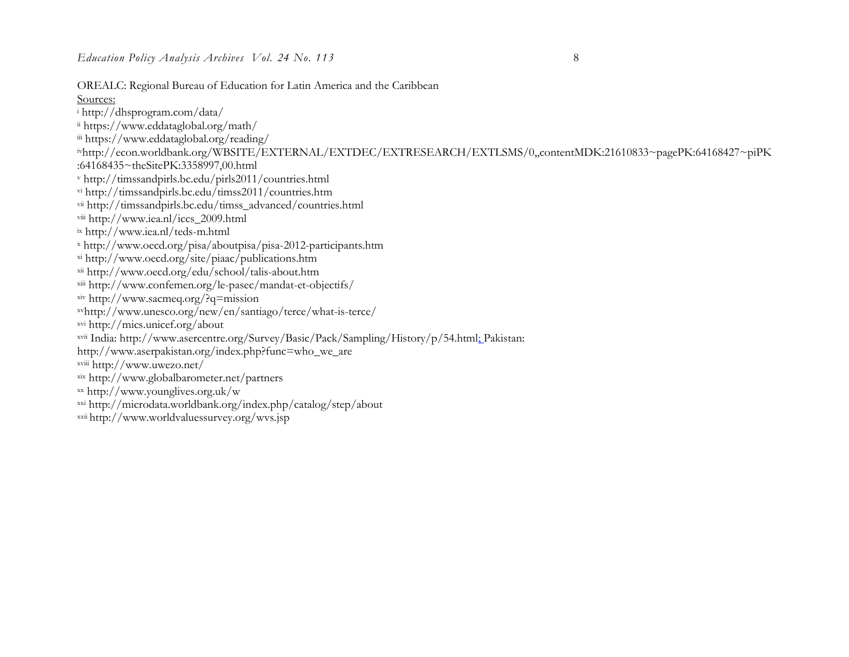OREALC: Regional Bureau of Education for Latin America and the Caribbean

#### Sources:

- <sup>i</sup> http://dhsprogram.com/data/
- ii https://www.eddataglobal.org/math/
- iii https://www.eddataglobal.org/reading/

ivhttp://econ.worldbank.org/WBSITE/EXTERNAL/EXTDEC/EXTRESEARCH/EXTLSMS/0,,contentMDK:21610833~pagePK:64168427~piPK :64168435~theSitePK:3358997,00.html

- <sup>v</sup> http://timssandpirls.bc.edu/pirls2011/countries.html
- vi http://timssandpirls.bc.edu/timss2011/countries.htm
- vii http://timssandpirls.bc.edu/timss\_advanced/countries.html
- viii http://www.iea.nl/iccs\_2009.html
- ix http://www.iea.nl/teds-m.html
- <sup>x</sup> http://www.oecd.org/pisa/aboutpisa/pisa-2012-participants.htm
- xi http://www.oecd.org/site/piaac/publications.htm
- xii http://www.oecd.org/edu/school/talis-about.htm
- xiii http://www.confemen.org/le-pasec/mandat-et-objectifs/
- xiv http://www.sacmeq.org/?q=mission
- xvhttp://www.unesco.org/new/en/santiago/terce/what-is-terce/
- xvi http://mics.unicef.org/about
- xvii India: http://www.asercentre.org/Survey/Basic/Pack/Sampling/History/p/54.html; Pakistan:
- http://www.aserpakistan.org/index.php?func=who\_we\_are
- xviii http://www.uwezo.net/
- xix http://www.globalbarometer.net/partners
- xx http://www.younglives.org.uk/w
- xxi http://microdata.worldbank.org/index.php/catalog/step/about
- xxii http://www.worldvaluessurvey.org/wvs.jsp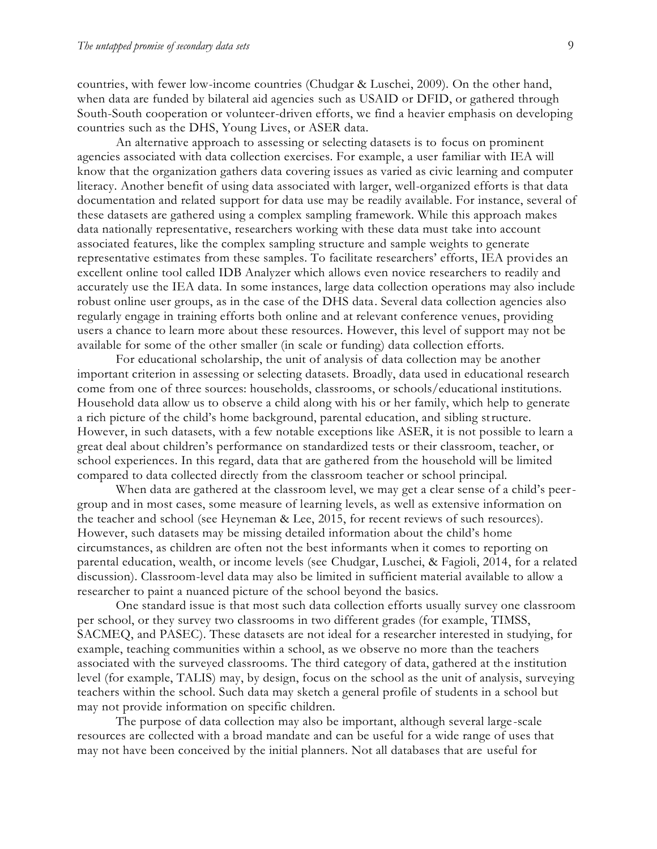countries, with fewer low-income countries (Chudgar & Luschei, 2009). On the other hand, when data are funded by bilateral aid agencies such as USAID or DFID, or gathered through South-South cooperation or volunteer-driven efforts, we find a heavier emphasis on developing countries such as the DHS, Young Lives, or ASER data.

An alternative approach to assessing or selecting datasets is to focus on prominent agencies associated with data collection exercises. For example, a user familiar with IEA will know that the organization gathers data covering issues as varied as civic learning and computer literacy. Another benefit of using data associated with larger, well-organized efforts is that data documentation and related support for data use may be readily available. For instance, several of these datasets are gathered using a complex sampling framework. While this approach makes data nationally representative, researchers working with these data must take into account associated features, like the complex sampling structure and sample weights to generate representative estimates from these samples. To facilitate researchers' efforts, IEA provides an excellent online tool called IDB Analyzer which allows even novice researchers to readily and accurately use the IEA data. In some instances, large data collection operations may also include robust online user groups, as in the case of the DHS data. Several data collection agencies also regularly engage in training efforts both online and at relevant conference venues, providing users a chance to learn more about these resources. However, this level of support may not be available for some of the other smaller (in scale or funding) data collection efforts.

For educational scholarship, the unit of analysis of data collection may be another important criterion in assessing or selecting datasets. Broadly, data used in educational research come from one of three sources: households, classrooms, or schools/educational institutions. Household data allow us to observe a child along with his or her family, which help to generate a rich picture of the child's home background, parental education, and sibling structure. However, in such datasets, with a few notable exceptions like ASER, it is not possible to learn a great deal about children's performance on standardized tests or their classroom, teacher, or school experiences. In this regard, data that are gathered from the household will be limited compared to data collected directly from the classroom teacher or school principal.

When data are gathered at the classroom level, we may get a clear sense of a child's peergroup and in most cases, some measure of learning levels, as well as extensive information on the teacher and school (see Heyneman & Lee, 2015, for recent reviews of such resources). However, such datasets may be missing detailed information about the child's home circumstances, as children are often not the best informants when it comes to reporting on parental education, wealth, or income levels (see Chudgar, Luschei, & Fagioli, 2014, for a related discussion). Classroom-level data may also be limited in sufficient material available to allow a researcher to paint a nuanced picture of the school beyond the basics.

One standard issue is that most such data collection efforts usually survey one classroom per school, or they survey two classrooms in two different grades (for example, TIMSS, SACMEQ, and PASEC). These datasets are not ideal for a researcher interested in studying, for example, teaching communities within a school, as we observe no more than the teachers associated with the surveyed classrooms. The third category of data, gathered at the institution level (for example, TALIS) may, by design, focus on the school as the unit of analysis, surveying teachers within the school. Such data may sketch a general profile of students in a school but may not provide information on specific children.

The purpose of data collection may also be important, although several large-scale resources are collected with a broad mandate and can be useful for a wide range of uses that may not have been conceived by the initial planners. Not all databases that are useful for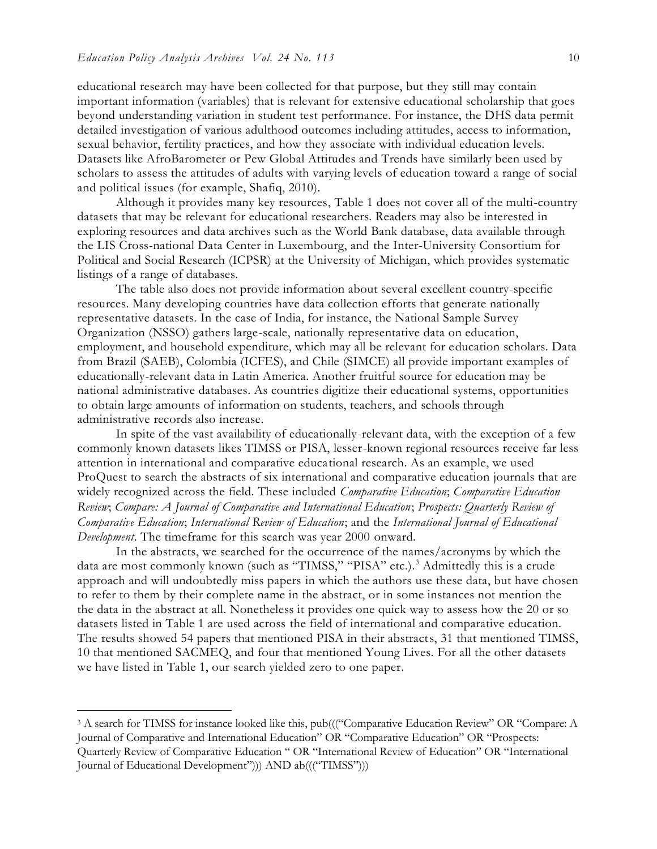educational research may have been collected for that purpose, but they still may contain important information (variables) that is relevant for extensive educational scholarship that goes beyond understanding variation in student test performance. For instance, the DHS data permit detailed investigation of various adulthood outcomes including attitudes, access to information, sexual behavior, fertility practices, and how they associate with individual education levels. Datasets like AfroBarometer or Pew Global Attitudes and Trends have similarly been used by scholars to assess the attitudes of adults with varying levels of education toward a range of social and political issues (for example, Shafiq, 2010).

Although it provides many key resources, Table 1 does not cover all of the multi-country datasets that may be relevant for educational researchers. Readers may also be interested in exploring resources and data archives such as the World Bank database, data available through the LIS Cross-national Data Center in Luxembourg, and the Inter-University Consortium for Political and Social Research (ICPSR) at the University of Michigan, which provides systematic listings of a range of databases.

The table also does not provide information about several excellent country-specific resources. Many developing countries have data collection efforts that generate nationally representative datasets. In the case of India, for instance, the National Sample Survey Organization (NSSO) gathers large-scale, nationally representative data on education, employment, and household expenditure, which may all be relevant for education scholars. Data from Brazil (SAEB), Colombia (ICFES), and Chile (SIMCE) all provide important examples of educationally-relevant data in Latin America. Another fruitful source for education may be national administrative databases. As countries digitize their educational systems, opportunities to obtain large amounts of information on students, teachers, and schools through administrative records also increase.

In spite of the vast availability of educationally-relevant data, with the exception of a few commonly known datasets likes TIMSS or PISA, lesser-known regional resources receive far less attention in international and comparative educational research. As an example, we used ProQuest to search the abstracts of six international and comparative education journals that are widely recognized across the field. These included *Comparative Education*; *Comparative Education Review*; *Compare: A Journal of Comparative and International Education*; *Prospects: Quarterly Review of Comparative Education*; *International Review of Education*; and the *International Journal of Educational Development*. The timeframe for this search was year 2000 onward.

In the abstracts, we searched for the occurrence of the names/acronyms by which the data are most commonly known (such as "TIMSS," "PISA" etc.).<sup>3</sup> Admittedly this is a crude approach and will undoubtedly miss papers in which the authors use these data, but have chosen to refer to them by their complete name in the abstract, or in some instances not mention the the data in the abstract at all. Nonetheless it provides one quick way to assess how the 20 or so datasets listed in Table 1 are used across the field of international and comparative education. The results showed 54 papers that mentioned PISA in their abstracts, 31 that mentioned TIMSS, 10 that mentioned SACMEQ, and four that mentioned Young Lives. For all the other datasets we have listed in Table 1, our search yielded zero to one paper.

<sup>3</sup> A search for TIMSS for instance looked like this, pub((("Comparative Education Review" OR "Compare: A Journal of Comparative and International Education" OR "Comparative Education" OR "Prospects: Quarterly Review of Comparative Education " OR "International Review of Education" OR "International Journal of Educational Development"))) AND ab((("TIMSS")))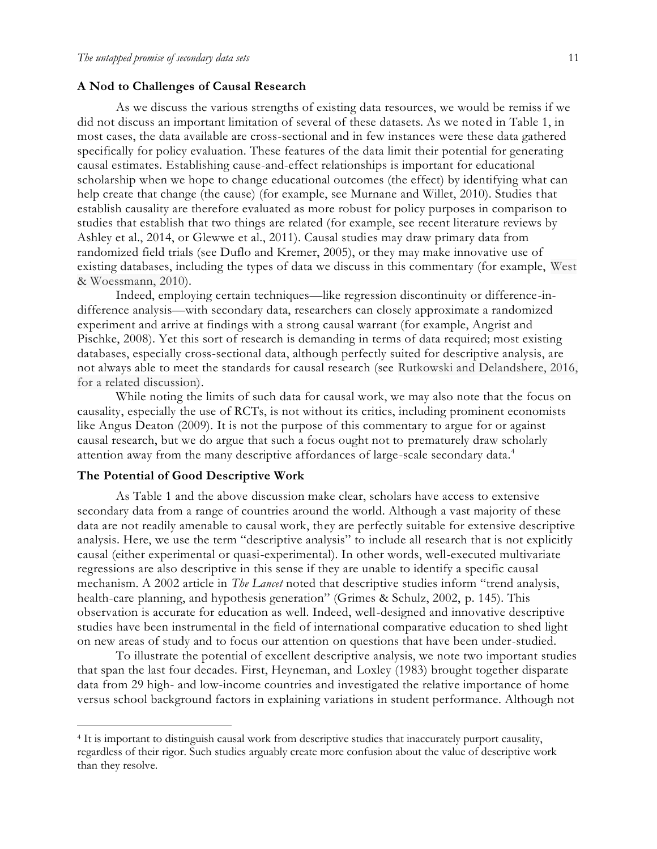#### **A Nod to Challenges of Causal Research**

As we discuss the various strengths of existing data resources, we would be remiss if we did not discuss an important limitation of several of these datasets. As we noted in Table 1, in most cases, the data available are cross-sectional and in few instances were these data gathered specifically for policy evaluation. These features of the data limit their potential for generating causal estimates. Establishing cause-and-effect relationships is important for educational scholarship when we hope to change educational outcomes (the effect) by identifying what can help create that change (the cause) (for example, see Murnane and Willet, 2010). Studies that establish causality are therefore evaluated as more robust for policy purposes in comparison to studies that establish that two things are related (for example, see recent literature reviews by Ashley et al., 2014, or Glewwe et al., 2011). Causal studies may draw primary data from randomized field trials (see Duflo and Kremer, 2005), or they may make innovative use of existing databases, including the types of data we discuss in this commentary (for example, West & Woessmann, 2010).

Indeed, employing certain techniques—like regression discontinuity or difference-indifference analysis—with secondary data, researchers can closely approximate a randomized experiment and arrive at findings with a strong causal warrant (for example, Angrist and Pischke, 2008). Yet this sort of research is demanding in terms of data required; most existing databases, especially cross-sectional data, although perfectly suited for descriptive analysis, are not always able to meet the standards for causal research (see Rutkowski and Delandshere, 2016, for a related discussion).

While noting the limits of such data for causal work, we may also note that the focus on causality, especially the use of RCTs, is not without its critics, including prominent economists like Angus Deaton (2009). It is not the purpose of this commentary to argue for or against causal research, but we do argue that such a focus ought not to prematurely draw scholarly attention away from the many descriptive affordances of large-scale secondary data.<sup>4</sup>

#### **The Potential of Good Descriptive Work**

As Table 1 and the above discussion make clear, scholars have access to extensive secondary data from a range of countries around the world. Although a vast majority of these data are not readily amenable to causal work, they are perfectly suitable for extensive descriptive analysis. Here, we use the term "descriptive analysis" to include all research that is not explicitly causal (either experimental or quasi-experimental). In other words, well-executed multivariate regressions are also descriptive in this sense if they are unable to identify a specific causal mechanism. A 2002 article in *The Lancet* noted that descriptive studies inform "trend analysis, health-care planning, and hypothesis generation" (Grimes & Schulz, 2002, p. 145). This observation is accurate for education as well. Indeed, well-designed and innovative descriptive studies have been instrumental in the field of international comparative education to shed light on new areas of study and to focus our attention on questions that have been under-studied.

To illustrate the potential of excellent descriptive analysis, we note two important studies that span the last four decades. First, Heyneman, and Loxley (1983) brought together disparate data from 29 high- and low-income countries and investigated the relative importance of home versus school background factors in explaining variations in student performance. Although not

<sup>4</sup> It is important to distinguish causal work from descriptive studies that inaccurately purport causality, regardless of their rigor. Such studies arguably create more confusion about the value of descriptive work than they resolve.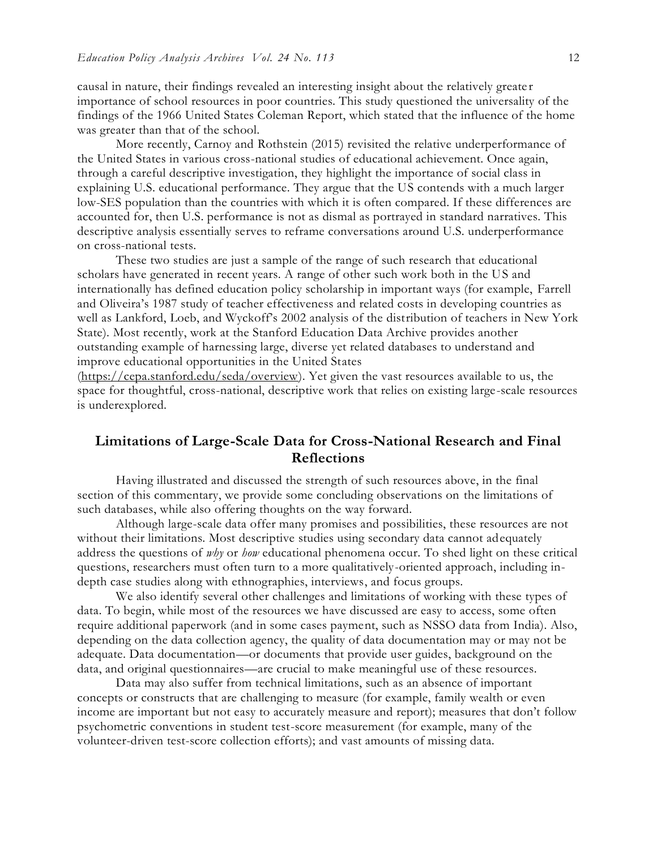causal in nature, their findings revealed an interesting insight about the relatively greate r importance of school resources in poor countries. This study questioned the universality of the findings of the 1966 United States Coleman Report, which stated that the influence of the home was greater than that of the school.

More recently, Carnoy and Rothstein (2015) revisited the relative underperformance of the United States in various cross-national studies of educational achievement. Once again, through a careful descriptive investigation, they highlight the importance of social class in explaining U.S. educational performance. They argue that the US contends with a much larger low-SES population than the countries with which it is often compared. If these differences are accounted for, then U.S. performance is not as dismal as portrayed in standard narratives. This descriptive analysis essentially serves to reframe conversations around U.S. underperformance on cross-national tests.

These two studies are just a sample of the range of such research that educational scholars have generated in recent years. A range of other such work both in the US and internationally has defined education policy scholarship in important ways (for example, Farrell and Oliveira's 1987 study of teacher effectiveness and related costs in developing countries as well as Lankford, Loeb, and Wyckoff's 2002 analysis of the distribution of teachers in New York State). Most recently, work at the Stanford Education Data Archive provides another outstanding example of harnessing large, diverse yet related databases to understand and improve educational opportunities in the United States

[\(https://cepa.stanford.edu/seda/overview\)](https://cepa.stanford.edu/seda/overview). Yet given the vast resources available to us, the space for thoughtful, cross-national, descriptive work that relies on existing large-scale resources is underexplored.

### **Limitations of Large-Scale Data for Cross-National Research and Final Reflections**

Having illustrated and discussed the strength of such resources above, in the final section of this commentary, we provide some concluding observations on the limitations of such databases, while also offering thoughts on the way forward.

Although large-scale data offer many promises and possibilities, these resources are not without their limitations. Most descriptive studies using secondary data cannot adequately address the questions of *why* or *how* educational phenomena occur. To shed light on these critical questions, researchers must often turn to a more qualitatively-oriented approach, including indepth case studies along with ethnographies, interviews, and focus groups.

We also identify several other challenges and limitations of working with these types of data. To begin, while most of the resources we have discussed are easy to access, some often require additional paperwork (and in some cases payment, such as NSSO data from India). Also, depending on the data collection agency, the quality of data documentation may or may not be adequate. Data documentation—or documents that provide user guides, background on the data, and original questionnaires—are crucial to make meaningful use of these resources.

Data may also suffer from technical limitations, such as an absence of important concepts or constructs that are challenging to measure (for example, family wealth or even income are important but not easy to accurately measure and report); measures that don't follow psychometric conventions in student test-score measurement (for example, many of the volunteer-driven test-score collection efforts); and vast amounts of missing data.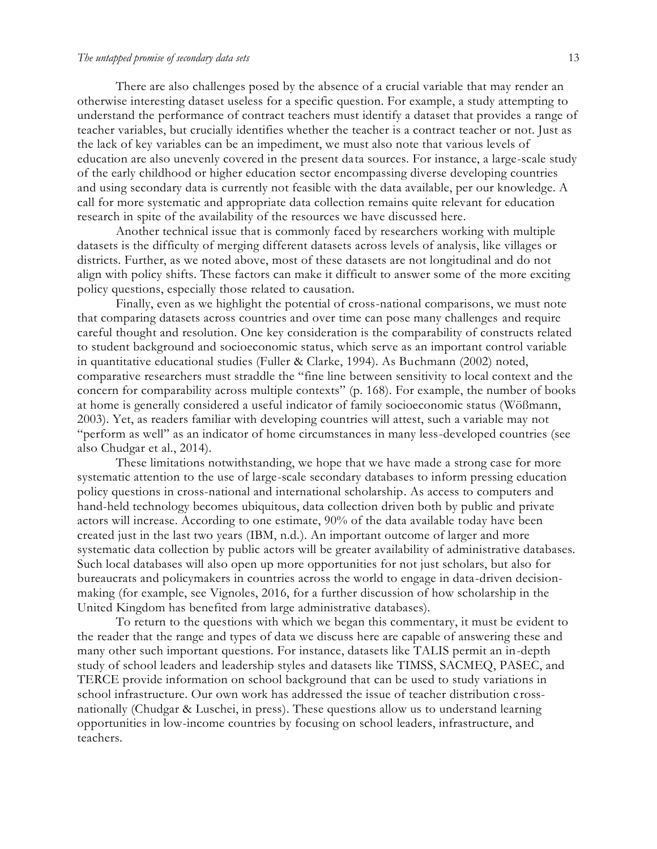#### *The untapped promise of secondary data sets* 13

There are also challenges posed by the absence of a crucial variable that may render an otherwise interesting dataset useless for a specific question. For example, a study attempting to understand the performance of contract teachers must identify a dataset that provides a range of teacher variables, but crucially identifies whether the teacher is a contract teacher or not. Just as the lack of key variables can be an impediment, we must also note that various levels of education are also unevenly covered in the present data sources. For instance, a large-scale study of the early childhood or higher education sector encompassing diverse developing countries and using secondary data is currently not feasible with the data available, per our knowledge. A call for more systematic and appropriate data collection remains quite relevant for education research in spite of the availability of the resources we have discussed here.

Another technical issue that is commonly faced by researchers working with multiple datasets is the difficulty of merging different datasets across levels of analysis, like villages or districts. Further, as we noted above, most of these datasets are not longitudinal and do not align with policy shifts. These factors can make it difficult to answer some of the more exciting policy questions, especially those related to causation.

Finally, even as we highlight the potential of cross-national comparisons, we must note that comparing datasets across countries and over time can pose many challenges and require careful thought and resolution. One key consideration is the comparability of constructs related to student background and socioeconomic status, which serve as an important control variable in quantitative educational studies (Fuller & Clarke, 1994). As Buchmann (2002) noted, comparative researchers must straddle the "fine line between sensitivity to local context and the concern for comparability across multiple contexts" (p. 168). For example, the number of books at home is generally considered a useful indicator of family socioeconomic status (Wößmann, 2003). Yet, as readers familiar with developing countries will attest, such a variable may not "perform as well" as an indicator of home circumstances in many less-developed countries (see also Chudgar et al., 2014).

These limitations notwithstanding, we hope that we have made a strong case for more systematic attention to the use of large-scale secondary databases to inform pressing education policy questions in cross-national and international scholarship. As access to computers and hand-held technology becomes ubiquitous, data collection driven both by public and private actors will increase. According to one estimate, 90% of the data available today have been created just in the last two years (IBM, n.d.). An important outcome of larger and more systematic data collection by public actors will be greater availability of administrative databases. Such local databases will also open up more opportunities for not just scholars, but also for bureaucrats and policymakers in countries across the world to engage in data-driven decisionmaking (for example, see Vignoles, 2016, for a further discussion of how scholarship in the United Kingdom has benefited from large administrative databases).

To return to the questions with which we began this commentary, it must be evident to the reader that the range and types of data we discuss here are capable of answering these and many other such important questions. For instance, datasets like TALIS permit an in-depth study of school leaders and leadership styles and datasets like TIMSS, SACMEQ, PASEC, and TERCE provide information on school background that can be used to study variations in school infrastructure. Our own work has addressed the issue of teacher distribution crossnationally (Chudgar & Luschei, in press). These questions allow us to understand learning opportunities in low-income countries by focusing on school leaders, infrastructure, and teachers.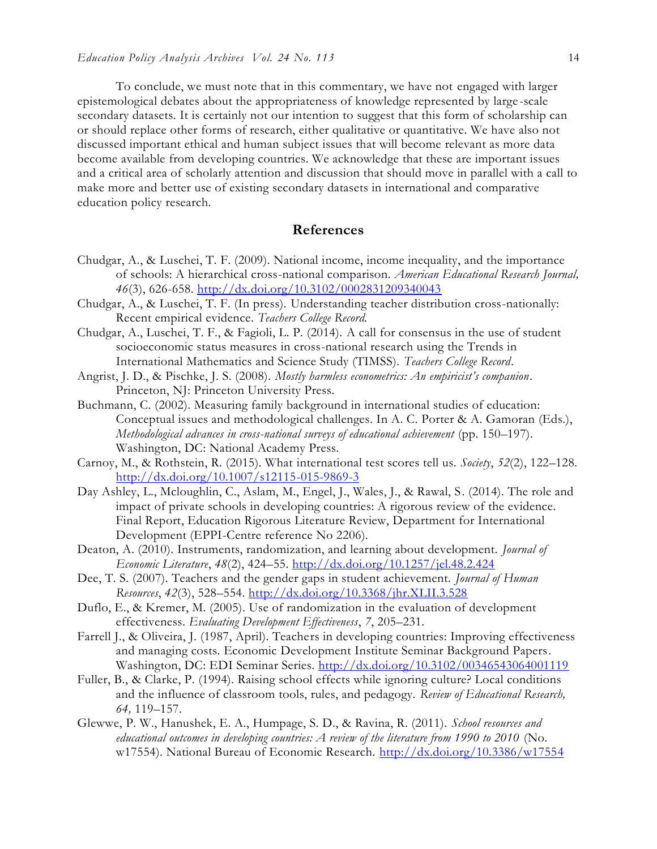To conclude, we must note that in this commentary, we have not engaged with larger epistemological debates about the appropriateness of knowledge represented by large-scale secondary datasets. It is certainly not our intention to suggest that this form of scholarship can or should replace other forms of research, either qualitative or quantitative. We have also not discussed important ethical and human subject issues that will become relevant as more data become available from developing countries. We acknowledge that these are important issues and a critical area of scholarly attention and discussion that should move in parallel with a call to make more and better use of existing secondary datasets in international and comparative education policy research.

#### **References**

- Chudgar, A., & Luschei, T. F. (2009). National income, income inequality, and the importance of schools: A hierarchical cross-national comparison. *American Educational Research Journal, 46*(3), 626-658. <http://dx.doi.org/10.3102/0002831209340043>
- Chudgar, A., & Luschei, T. F. (In press). Understanding teacher distribution cross-nationally: Recent empirical evidence. *Teachers College Record.*
- Chudgar, A., Luschei, T. F., & Fagioli, L. P. (2014). A call for consensus in the use of student socioeconomic status measures in cross-national research using the Trends in International Mathematics and Science Study (TIMSS). *Teachers College Record*.
- Angrist, J. D., & Pischke, J. S. (2008). *Mostly harmless econometrics: An empiricist's companion*. Princeton, NJ: Princeton University Press.
- Buchmann, C. (2002). Measuring family background in international studies of education: Conceptual issues and methodological challenges. In A. C. Porter & A. Gamoran (Eds.), *Methodological advances in cross-national surveys of educational achievement* (pp. 150–197). Washington, DC: National Academy Press.
- Carnoy, M., & Rothstein, R. (2015). What international test scores tell us. *Society*, *52*(2), 122–128. <http://dx.doi.org/10.1007/s12115-015-9869-3>
- Day Ashley, L., Mcloughlin, C., Aslam, M., Engel, J., Wales, J., & Rawal, S. (2014). The role and impact of private schools in developing countries: A rigorous review of the evidence. Final Report, Education Rigorous Literature Review, Department for International Development (EPPI-Centre reference No 2206).
- Deaton, A. (2010). Instruments, randomization, and learning about development. *Journal of Economic Literature*, *48*(2), 424–55.<http://dx.doi.org/10.1257/jel.48.2.424>
- Dee, T. S. (2007). Teachers and the gender gaps in student achievement. *Journal of Human Resources*, *42*(3), 528–554. <http://dx.doi.org/10.3368/jhr.XLII.3.528>
- Duflo, E., & Kremer, M. (2005). Use of randomization in the evaluation of development effectiveness. *Evaluating Development Effectiveness*, *7*, 205–231.
- Farrell J., & Oliveira, J. (1987, April). Teachers in developing countries: Improving effectiveness and managing costs. Economic Development Institute Seminar Background Papers. Washington, DC: EDI Seminar Series. <http://dx.doi.org/10.3102/00346543064001119>
- Fuller, B., & Clarke, P. (1994). Raising school effects while ignoring culture? Local conditions and the influence of classroom tools, rules, and pedagogy. *Review of Educational Research, 64,* 119–157.
- Glewwe, P. W., Hanushek, E. A., Humpage, S. D., & Ravina, R. (2011). *School resources and educational outcomes in developing countries: A review of the literature from 1990 to 2010* (No. w17554). National Bureau of Economic Research.<http://dx.doi.org/10.3386/w17554>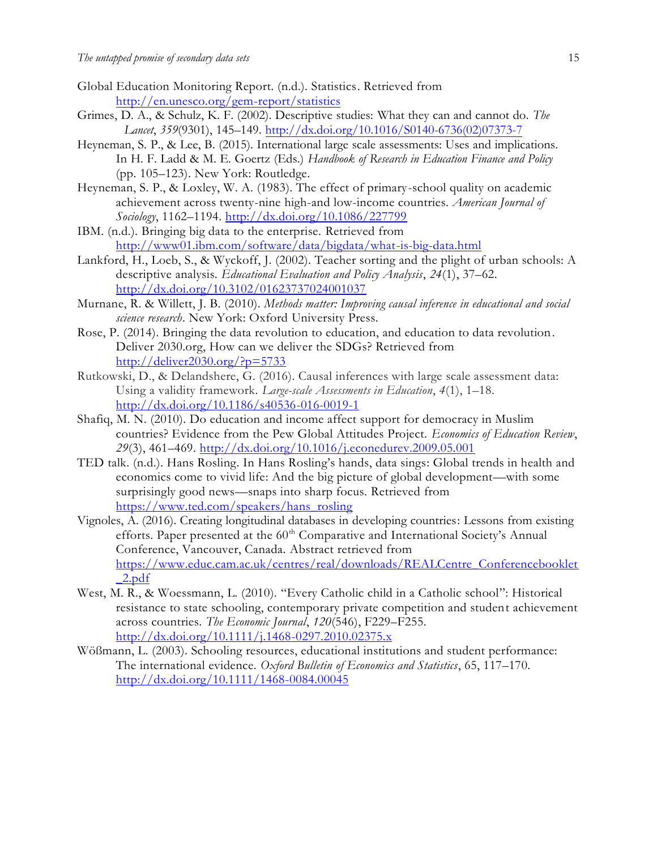- Global Education Monitoring Report. (n.d.). Statistics. Retrieved from <http://en.unesco.org/gem-report/statistics>
- Grimes, D. A., & Schulz, K. F. (2002). Descriptive studies: What they can and cannot do. *The Lancet*, *359*(9301), 145–149[. http://dx.doi.org/10.1016/S0140-6736\(02\)07373-7](http://dx.doi.org/10.1016/S0140-6736(02)07373-7)
- Heyneman, S. P., & Lee, B. (2015). International large scale assessments: Uses and implications. In H. F. Ladd & M. E. Goertz (Eds.) *Handbook of Research in Education Finance and Policy* (pp. 105–123). New York: Routledge.
- Heyneman, S. P., & Loxley, W. A. (1983). The effect of primary-school quality on academic achievement across twenty-nine high-and low-income countries. *American Journal of Sociology*, 1162–1194.<http://dx.doi.org/10.1086/227799>
- IBM. (n.d.). Bringing big data to the enterprise. Retrieved from <http://www01.ibm.com/software/data/bigdata/what-is-big-data.html>
- Lankford, H., Loeb, S., & Wyckoff, J. (2002). Teacher sorting and the plight of urban schools: A descriptive analysis. *Educational Evaluation and Policy Analysis*, *24*(1), 37–62. <http://dx.doi.org/10.3102/01623737024001037>
- Murnane, R. & Willett, J. B. (2010). *Methods matter: Improving causal inference in educational and social science research*. New York: Oxford University Press.
- Rose, P. (2014). Bringing the data revolution to education, and education to data revolution. Deliver 2030.org, How can we deliver the SDGs? Retrieved from <http://deliver2030.org/?p=5733>
- Rutkowski, D., & Delandshere, G. (2016). Causal inferences with large scale assessment data: Using a validity framework. *Large-scale Assessments in Education*, *4*(1), 1–18. <http://dx.doi.org/10.1186/s40536-016-0019-1>
- Shafiq, M. N. (2010). Do education and income affect support for democracy in Muslim countries? Evidence from the Pew Global Attitudes Project. *Economics of Education Review*, *29*(3), 461–469. <http://dx.doi.org/10.1016/j.econedurev.2009.05.001>
- TED talk. (n.d.). Hans Rosling. In Hans Rosling's hands, data sings: Global trends in health and economics come to vivid life: And the big picture of global development—with some surprisingly good news—snaps into sharp focus. Retrieved from [https://www.ted.com/speakers/hans\\_rosling](https://www.ted.com/speakers/hans_rosling)
- Vignoles, A. (2016). Creating longitudinal databases in developing countries: Lessons from existing efforts. Paper presented at the 60<sup>th</sup> Comparative and International Society's Annual Conference, Vancouver, Canada. Abstract retrieved from [https://www.educ.cam.ac.uk/centres/real/downloads/REALCentre\\_Conferencebooklet](https://www.educ.cam.ac.uk/centres/real/downloads/REALCentre_Conferencebooklet_2.pdf) [\\_2.pdf](https://www.educ.cam.ac.uk/centres/real/downloads/REALCentre_Conferencebooklet_2.pdf)
- West, M. R., & Woessmann, L. (2010). "Every Catholic child in a Catholic school": Historical resistance to state schooling, contemporary private competition and student achievement across countries. *The Economic Journal*, *120*(546), F229–F255. <http://dx.doi.org/10.1111/j.1468-0297.2010.02375.x>
- Wößmann, L. (2003). Schooling resources, educational institutions and student performance: The international evidence. *Oxford Bulletin of Economics and Statistics*, 65, 117–170. <http://dx.doi.org/10.1111/1468-0084.00045>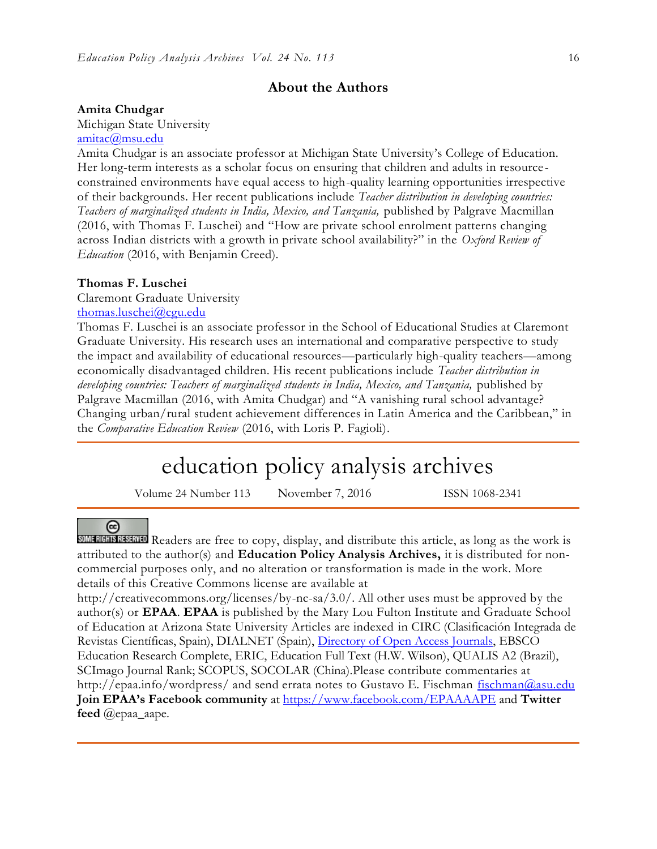#### **About the Authors**

#### **Amita Chudgar**

Michigan State University

#### [amitac@msu.edu](mailto:amitac@msu.edu)

Amita Chudgar is an associate professor at Michigan State University's College of Education. Her long-term interests as a scholar focus on ensuring that children and adults in resource constrained environments have equal access to high-quality learning opportunities irrespective of their backgrounds. Her recent publications include *Teacher distribution in developing countries: Teachers of marginalized students in India, Mexico, and Tanzania, published by Palgrave Macmillan* (2016, with Thomas F. Luschei) and "How are private school enrolment patterns changing across Indian districts with a growth in private school availability?" in the *Oxford Review of Education* (2016, with Benjamin Creed).

#### **Thomas F. Luschei**

Claremont Graduate University

[thomas.luschei@cgu.edu](mailto:thomas.luschei@cgu.edu) 

Thomas F. Luschei is an associate professor in the School of Educational Studies at Claremont Graduate University. His research uses an international and comparative perspective to study the impact and availability of educational resources—particularly high-quality teachers—among economically disadvantaged children. His recent publications include *Teacher distribution in developing countries: Teachers of marginalized students in India, Mexico, and Tanzania,* published by Palgrave Macmillan (2016, with Amita Chudgar) and "A vanishing rural school advantage? Changing urban/rural student achievement differences in Latin America and the Caribbean," in the *Comparative Education Review* (2016, with Loris P. Fagioli).

# education policy analysis archives

Volume 24 Number 113 November 7, 2016 ISSN 1068-2341

#### $(c<sub>c</sub>)$

SOME RIGHTS RESERVED Readers are free to copy, display, and distribute this article, as long as the work is attributed to the author(s) and **Education Policy Analysis Archives,** it is distributed for noncommercial purposes only, and no alteration or transformation is made in the work. More details of this Creative Commons license are available at

http://creativecommons.org/licenses/by-nc-sa/3.0/. All other uses must be approved by the author(s) or **EPAA**. **EPAA** is published by the Mary Lou Fulton Institute and Graduate School of Education at Arizona State University Articles are indexed in CIRC (Clasificación Integrada de Revistas Científicas, Spain), DIALNET (Spain), [Directory of Open Access Journals,](http://www.doaj.org/) EBSCO Education Research Complete, ERIC, Education Full Text (H.W. Wilson), QUALIS A2 (Brazil), SCImago Journal Rank; SCOPUS, SOCOLAR (China).Please contribute commentaries at http://epaa.info/wordpress/ and send errata notes to Gustavo E. Fischman [fischman@asu.edu](mailto:fischman@asu.edu) **Join EPAA's Facebook community** at<https://www.facebook.com/EPAAAAPE> and **Twitter feed** @epaa\_aape.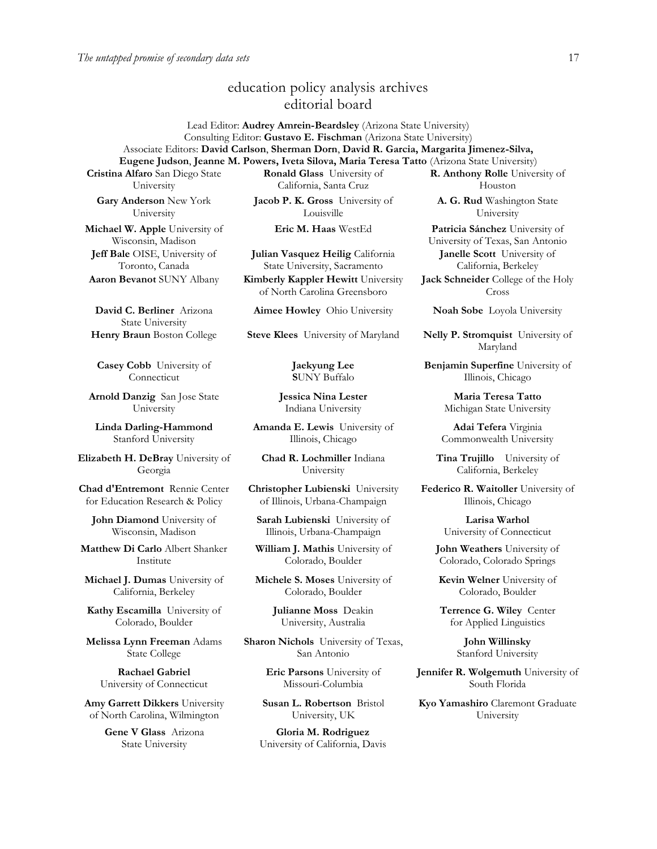# education policy analysis archives editorial board

Lead Editor: **Audrey Amrein-Beardsley** (Arizona State University) Consulting Editor: **Gustavo E. Fischman** (Arizona State University) Associate Editors: **David Carlson**, **Sherman Dorn**, **David R. Garcia, Margarita Jimenez-Silva, Eugene Judson**, **Jeanne M. Powers, Iveta Silova, Maria Teresa Tatto** (Arizona State University) **R. Anthony Rolle** University of

**Cristina Alfaro** San Diego State University

**Gary Anderson** New York University

**Michael W. Apple** University of Wisconsin, Madison **Jeff Bale** OISE, University of Toronto, Canada

**David C. Berliner** Arizona State University

**Casey Cobb** University of Connecticut

**Arnold Danzig** San Jose State University

**Linda Darling-Hammond** Stanford University

**Elizabeth H. DeBray** University of Georgia

**Chad d'Entremont** Rennie Center for Education Research & Policy

**John Diamond** University of Wisconsin, Madison

**Matthew Di Carlo** Albert Shanker Institute

**Michael J. Dumas** University of California, Berkeley

**Kathy Escamilla** University of Colorado, Boulder

**Melissa Lynn Freeman** Adams State College

**Rachael Gabriel** University of Connecticut

**Amy Garrett Dikkers** University of North Carolina, Wilmington

> **Gene V Glass** Arizona State University

**Ronald Glass** University of California, Santa Cruz

**Jacob P. K. Gross** University of Louisville

**Julian Vasquez Heilig** California State University, Sacramento

**Aaron Bevanot** SUNY Albany **Kimberly Kappler Hewitt** University of North Carolina Greensboro

**Jaekyung Lee S**UNY Buffalo

**Jessica Nina Lester** Indiana University

**Amanda E. Lewis** University of Illinois, Chicago

**Chad R. Lochmiller** Indiana University

**Christopher Lubienski** University of Illinois, Urbana-Champaign

**Sarah Lubienski** University of Illinois, Urbana-Champaign

**William J. Mathis** University of Colorado, Boulder

**Michele S. Moses** University of Colorado, Boulder

> **Julianne Moss** Deakin University, Australia

**Sharon Nichols** University of Texas, San Antonio

> **Eric Parsons** University of Missouri-Columbia

**Susan L. Robertson** Bristol University, UK

**Gloria M. Rodriguez** University of California, Davis

Houston **A. G. Rud** Washington State University

**Eric M. Haas** WestEd **Patricia Sánchez** University of University of Texas, San Antonio **Janelle Scott** University of California, Berkeley **Jack Schneider** College of the Holy Cross

**Aimee Howley** Ohio University **Noah Sobe** Loyola University

**Henry Braun** Boston College **Steve Klees** University of Maryland **Nelly P. Stromquist** University of Maryland

> **Benjamin Superfine** University of Illinois, Chicago

> > **Maria Teresa Tatto** Michigan State University

**Adai Tefera** Virginia Commonwealth University

**Tina Trujillo** University of California, Berkeley

**Federico R. Waitoller** University of Illinois, Chicago

> **Larisa Warhol** University of Connecticut

**John Weathers** University of Colorado, Colorado Springs

**Kevin Welner** University of Colorado, Boulder

**Terrence G. Wiley** Center for Applied Linguistics

> **John Willinsky** Stanford University

**Jennifer R. Wolgemuth University of** South Florida

**Kyo Yamashiro** Claremont Graduate University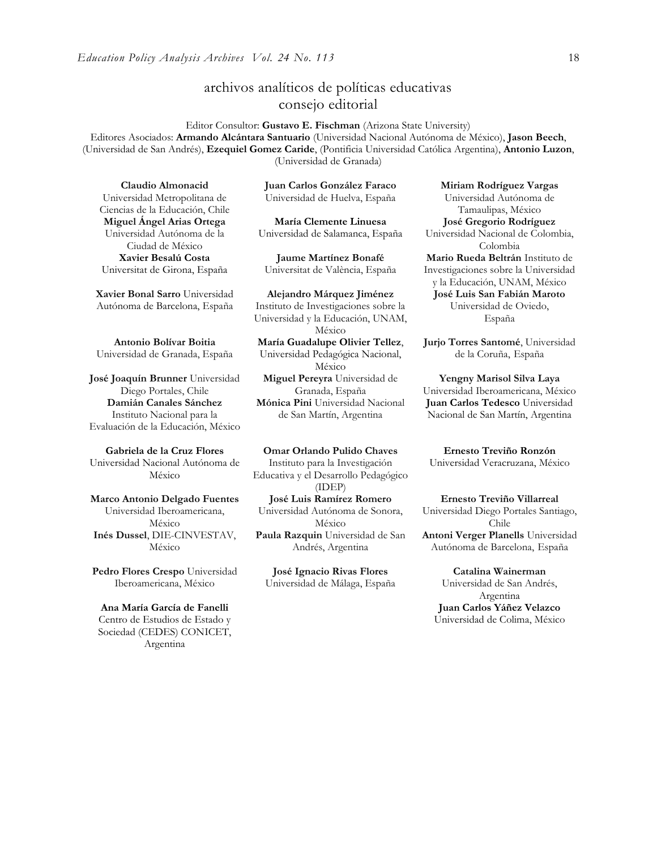# archivos analíticos de políticas educativas consejo editorial

Editor Consultor: **Gustavo E. Fischman** (Arizona State University) Editores Asociados: **Armando Alcántara Santuario** (Universidad Nacional Autónoma de México), **Jason Beech**, (Universidad de San Andrés), **Ezequiel Gomez Caride**, (Pontificia Universidad Católica Argentina), **Antonio Luzon**, (Universidad de Granada)

**Claudio Almonacid** Universidad Metropolitana de Ciencias de la Educación, Chile **Miguel Ángel Arias Ortega**  Universidad Autónoma de la Ciudad de México **Xavier Besalú Costa** Universitat de Girona, España

**[Xavier Bonal](javascript:openRTWindow() Sarro** Universidad Autónoma de Barcelona, España

**[Antonio Bolívar](javascript:openRTWindow() Boitia** Universidad de Granada, España

**[José Joaquín Brunner](javascript:openRTWindow()** Universidad Diego Portales, Chile **[Damián Canales Sánchez](javascript:openRTWindow()** Instituto Nacional para la Evaluación de la Educación, México

**Gabriela de la Cruz Flores** Universidad Nacional Autónoma de México

**[Marco Antonio Delgado Fuentes](javascript:openRTWindow()** Universidad Iberoamericana, México **[Inés Dussel](javascript:openRTWindow()**, DIE-CINVESTAV, México

**[Pedro Flores Crespo](javascript:openRTWindow()** Universidad Iberoamericana, México

**Ana María García de Fanelli** Centro de Estudios de Estado y Sociedad (CEDES) CONICET, Argentina

**Juan Carlos González Faraco**  Universidad de Huelva, España

**María Clemente Linuesa**  Universidad de Salamanca, España

**Jaume Martínez Bonafé** Universitat de València, España

**Alejandro Márquez Jiménez**  Instituto de Investigaciones sobre la Universidad y la Educación, UNAM, México **María Guadalupe Olivier Tellez**, Universidad Pedagógica Nacional, México **[Miguel Pereyra](javascript:openRTWindow()** Universidad de Granada, España **[Mónica Pini](javascript:openRTWindow()** Universidad Nacional de San Martín, Argentina

**Omar Orlando Pulido Chaves** Instituto para la Investigación Educativa y el Desarrollo Pedagógico (IDEP) **[José Luis Ramírez](javascript:openRTWindow() Romero** Universidad Autónoma de Sonora, México

**[Paula Razquin](javascript:openRTWindow()** Universidad de San Andrés, Argentina

**José Ignacio Rivas Flores** Universidad de Málaga, España

**[Miriam Rodríguez Vargas](javascript:openRTWindow()** Universidad Autónoma de Tamaulipas, México **José Gregorio Rodríguez**  Universidad Nacional de Colombia, Colombia **[Mario Rueda Beltrán](javascript:openRTWindow()** Instituto de Investigaciones sobre la Universidad y la Educación, UNAM, México **José Luis San Fabián Maroto** Universidad de Oviedo, España

**[Jurjo Torres Santomé](javascript:openRTWindow()**, Universidad de la Coruña, España

**[Yengny Marisol Silva Laya](javascript:openRTWindow()** Universidad Iberoamericana, México **Juan Carlos Tedesco** Universidad Nacional de San Martín, Argentina

**Ernesto Treviño Ronzón** Universidad Veracruzana, México

**[Ernesto Treviño](javascript:openRTWindow() Villarreal** Universidad Diego Portales Santiago, Chile **[Antoni Verger Planells](javascript:openRTWindow()** Universidad Autónoma de Barcelona, España

**[Catalina Wainerman](javascript:openRTWindow()** Universidad de San Andrés, Argentina **Juan Carlos Yáñez Velazco** Universidad de Colima, México